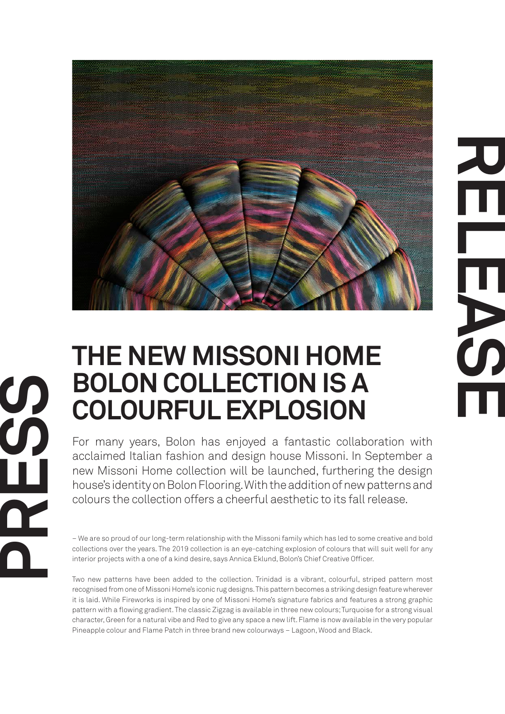

## **RELEASE**

## **THE NEW MISSONI HOME BOLON COLLECTION IS A COLOURFUL EXPLOSION**

**PRESS** 

For many years, Bolon has enjoyed a fantastic collaboration with acclaimed Italian fashion and design house Missoni. In September a new Missoni Home collection will be launched, furthering the design house's identity on Bolon Flooring. With the addition of new patterns and colours the collection offers a cheerful aesthetic to its fall release.

– We are so proud of our long-term relationship with the Missoni family which has led to some creative and bold collections over the years. The 2019 collection is an eye-catching explosion of colours that will suit well for any interior projects with a one of a kind desire, says Annica Eklund, Bolon's Chief Creative Officer.

Two new patterns have been added to the collection. Trinidad is a vibrant, colourful, striped pattern most recognised from one of Missoni Home's iconic rug designs. This pattern becomes a striking design feature wherever it is laid. While Fireworks is inspired by one of Missoni Home's signature fabrics and features a strong graphic pattern with a flowing gradient. The classic Zigzag is available in three new colours; Turquoise for a strong visual character, Green for a natural vibe and Red to give any space a new lift. Flame is now available in the very popular Pineapple colour and Flame Patch in three brand new colourways – Lagoon, Wood and Black.